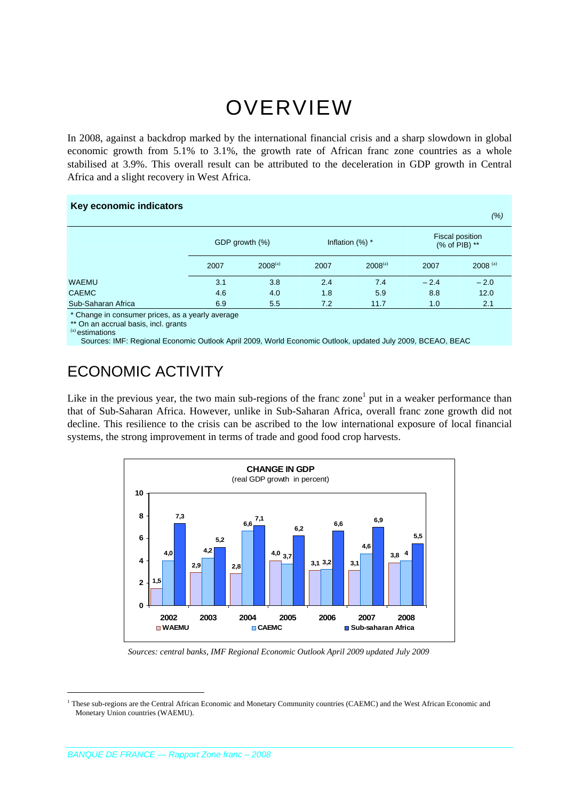# OVERVIEW

In 2008, against a backdrop marked by the international financial crisis and a sharp slowdown in global economic growth from 5.1% to 3.1%, the growth rate of African franc zone countries as a whole stabilised at 3.9%. This overall result can be attributed to the deceleration in GDP growth in Central Africa and a slight recovery in West Africa.

#### **Key economic indicators**

|                    |                |              |                   |              |                                  | (%)          |
|--------------------|----------------|--------------|-------------------|--------------|----------------------------------|--------------|
|                    | GDP growth (%) |              | Inflation $(%)$ * |              | Fiscal position<br>(% of PIB) ** |              |
|                    | 2007           | $2008^{(a)}$ | 2007              | $2008^{(a)}$ | 2007                             | $2008^{(a)}$ |
| <b>WAEMU</b>       | 3.1            | 3.8          | 2.4               | 7.4          | $-2.4$                           | $-2.0$       |
| <b>CAEMC</b>       | 4.6            | 4.0          | 1.8               | 5.9          | 8.8                              | 12.0         |
| Sub-Saharan Africa | 6.9            | 5.5          | 7.2               | 11.7         | 1.0                              | 2.1          |

\* Change in consumer prices, as a yearly average

\*\* On an accrual basis, incl. grants

(a) estimations

1

Sources: IMF: Regional Economic Outlook April 2009, World Economic Outlook, updated July 2009, BCEAO, BEAC

# ECONOMIC ACTIVITY

Like in the previous year, the two main sub-regions of the franc zone<sup>1</sup> put in a weaker performance than that of Sub-Saharan Africa. However, unlike in Sub-Saharan Africa, overall franc zone growth did not decline. This resilience to the crisis can be ascribed to the low international exposure of local financial systems, the strong improvement in terms of trade and good food crop harvests.



*Sources: central banks, IMF Regional Economic Outlook April 2009 updated July 2009* 

<sup>&</sup>lt;sup>1</sup> These sub-regions are the Central African Economic and Monetary Community countries (CAEMC) and the West African Economic and Monetary Union countries (WAEMU).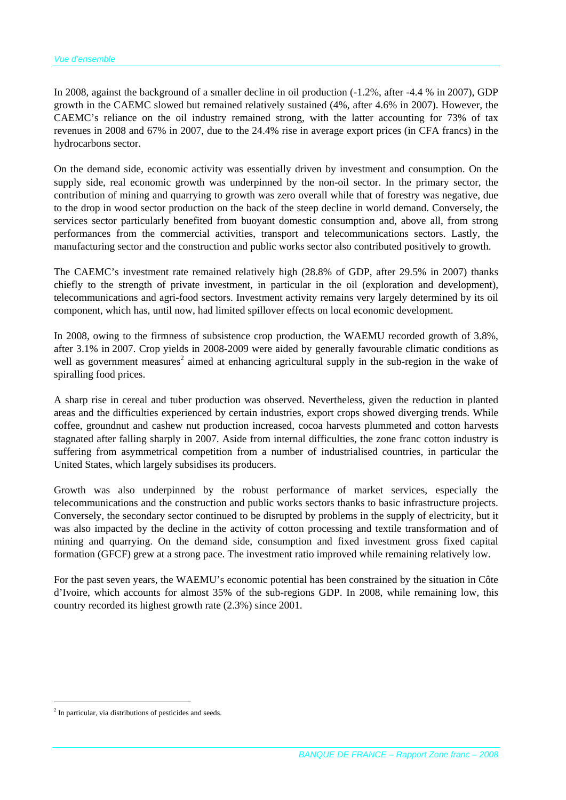In 2008, against the background of a smaller decline in oil production (-1.2%, after -4.4 % in 2007), GDP growth in the CAEMC slowed but remained relatively sustained (4%, after 4.6% in 2007). However, the CAEMC's reliance on the oil industry remained strong, with the latter accounting for 73% of tax revenues in 2008 and 67% in 2007, due to the 24.4% rise in average export prices (in CFA francs) in the hydrocarbons sector.

On the demand side, economic activity was essentially driven by investment and consumption. On the supply side, real economic growth was underpinned by the non-oil sector. In the primary sector, the contribution of mining and quarrying to growth was zero overall while that of forestry was negative, due to the drop in wood sector production on the back of the steep decline in world demand. Conversely, the services sector particularly benefited from buoyant domestic consumption and, above all, from strong performances from the commercial activities, transport and telecommunications sectors. Lastly, the manufacturing sector and the construction and public works sector also contributed positively to growth.

The CAEMC's investment rate remained relatively high (28.8% of GDP, after 29.5% in 2007) thanks chiefly to the strength of private investment, in particular in the oil (exploration and development), telecommunications and agri-food sectors. Investment activity remains very largely determined by its oil component, which has, until now, had limited spillover effects on local economic development.

In 2008, owing to the firmness of subsistence crop production, the WAEMU recorded growth of 3.8%, after 3.1% in 2007. Crop yields in 2008-2009 were aided by generally favourable climatic conditions as well as government measures<sup>2</sup> aimed at enhancing agricultural supply in the sub-region in the wake of spiralling food prices.

A sharp rise in cereal and tuber production was observed. Nevertheless, given the reduction in planted areas and the difficulties experienced by certain industries, export crops showed diverging trends. While coffee, groundnut and cashew nut production increased, cocoa harvests plummeted and cotton harvests stagnated after falling sharply in 2007. Aside from internal difficulties, the zone franc cotton industry is suffering from asymmetrical competition from a number of industrialised countries, in particular the United States, which largely subsidises its producers.

Growth was also underpinned by the robust performance of market services, especially the telecommunications and the construction and public works sectors thanks to basic infrastructure projects. Conversely, the secondary sector continued to be disrupted by problems in the supply of electricity, but it was also impacted by the decline in the activity of cotton processing and textile transformation and of mining and quarrying. On the demand side, consumption and fixed investment gross fixed capital formation (GFCF) grew at a strong pace. The investment ratio improved while remaining relatively low.

For the past seven years, the WAEMU's economic potential has been constrained by the situation in Côte d'Ivoire, which accounts for almost 35% of the sub-regions GDP. In 2008, while remaining low, this country recorded its highest growth rate (2.3%) since 2001.

 $\overline{a}$ 

<sup>&</sup>lt;sup>2</sup> In particular, via distributions of pesticides and seeds.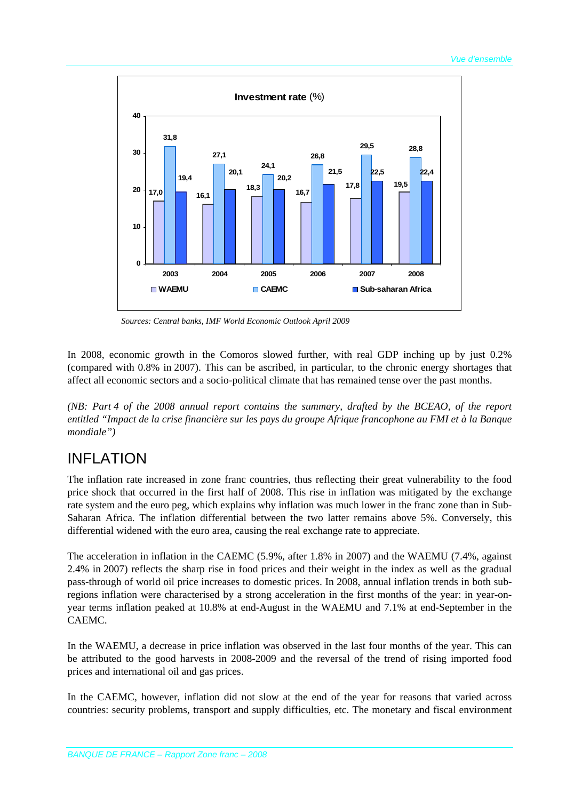

*Sources: Central banks, IMF World Economic Outlook April 2009* 

In 2008, economic growth in the Comoros slowed further, with real GDP inching up by just 0.2% (compared with 0.8% in 2007). This can be ascribed, in particular, to the chronic energy shortages that affect all economic sectors and a socio-political climate that has remained tense over the past months.

*(NB: Part 4 of the 2008 annual report contains the summary, drafted by the BCEAO, of the report entitled "Impact de la crise financière sur les pays du groupe Afrique francophone au FMI et à la Banque mondiale")* 

#### INFLATION

The inflation rate increased in zone franc countries, thus reflecting their great vulnerability to the food price shock that occurred in the first half of 2008. This rise in inflation was mitigated by the exchange rate system and the euro peg, which explains why inflation was much lower in the franc zone than in Sub-Saharan Africa. The inflation differential between the two latter remains above 5%. Conversely, this differential widened with the euro area, causing the real exchange rate to appreciate.

The acceleration in inflation in the CAEMC (5.9%, after 1.8% in 2007) and the WAEMU (7.4%, against 2.4% in 2007) reflects the sharp rise in food prices and their weight in the index as well as the gradual pass-through of world oil price increases to domestic prices. In 2008, annual inflation trends in both subregions inflation were characterised by a strong acceleration in the first months of the year: in year-onyear terms inflation peaked at 10.8% at end-August in the WAEMU and 7.1% at end-September in the CAEMC.

In the WAEMU, a decrease in price inflation was observed in the last four months of the year. This can be attributed to the good harvests in 2008-2009 and the reversal of the trend of rising imported food prices and international oil and gas prices.

In the CAEMC, however, inflation did not slow at the end of the year for reasons that varied across countries: security problems, transport and supply difficulties, etc. The monetary and fiscal environment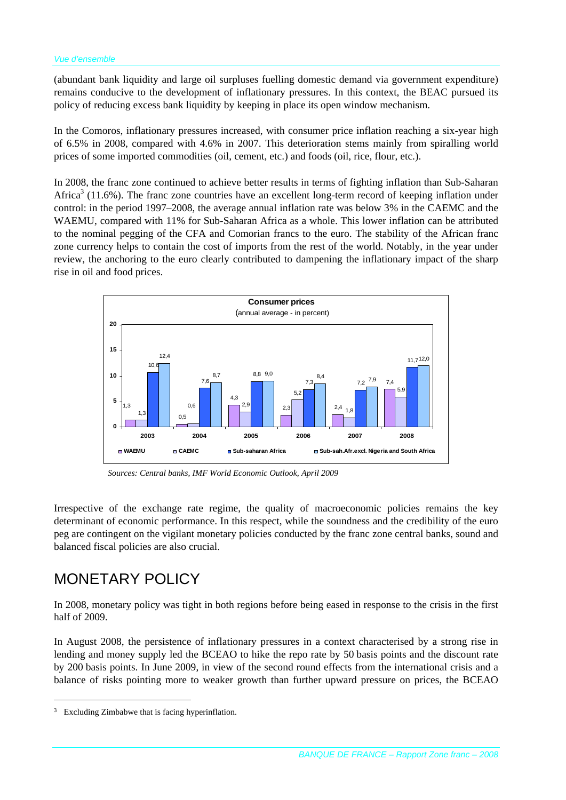(abundant bank liquidity and large oil surpluses fuelling domestic demand via government expenditure) remains conducive to the development of inflationary pressures. In this context, the BEAC pursued its policy of reducing excess bank liquidity by keeping in place its open window mechanism.

In the Comoros, inflationary pressures increased, with consumer price inflation reaching a six-year high of 6.5% in 2008, compared with 4.6% in 2007. This deterioration stems mainly from spiralling world prices of some imported commodities (oil, cement, etc.) and foods (oil, rice, flour, etc.).

In 2008, the franc zone continued to achieve better results in terms of fighting inflation than Sub-Saharan Africa<sup>3</sup> (11.6%). The franc zone countries have an excellent long-term record of keeping inflation under control: in the period 1997–2008, the average annual inflation rate was below 3% in the CAEMC and the WAEMU, compared with 11% for Sub-Saharan Africa as a whole. This lower inflation can be attributed to the nominal pegging of the CFA and Comorian francs to the euro. The stability of the African franc zone currency helps to contain the cost of imports from the rest of the world. Notably, in the year under review, the anchoring to the euro clearly contributed to dampening the inflationary impact of the sharp rise in oil and food prices.



*Sources: Central banks, IMF World Economic Outlook, April 2009* 

Irrespective of the exchange rate regime, the quality of macroeconomic policies remains the key determinant of economic performance. In this respect, while the soundness and the credibility of the euro peg are contingent on the vigilant monetary policies conducted by the franc zone central banks, sound and balanced fiscal policies are also crucial.

#### MONETARY POLICY

In 2008, monetary policy was tight in both regions before being eased in response to the crisis in the first half of 2009.

In August 2008, the persistence of inflationary pressures in a context characterised by a strong rise in lending and money supply led the BCEAO to hike the repo rate by 50 basis points and the discount rate by 200 basis points. In June 2009, in view of the second round effects from the international crisis and a balance of risks pointing more to weaker growth than further upward pressure on prices, the BCEAO

 $\overline{a}$ 

<sup>&</sup>lt;sup>3</sup> Excluding Zimbabwe that is facing hyperinflation.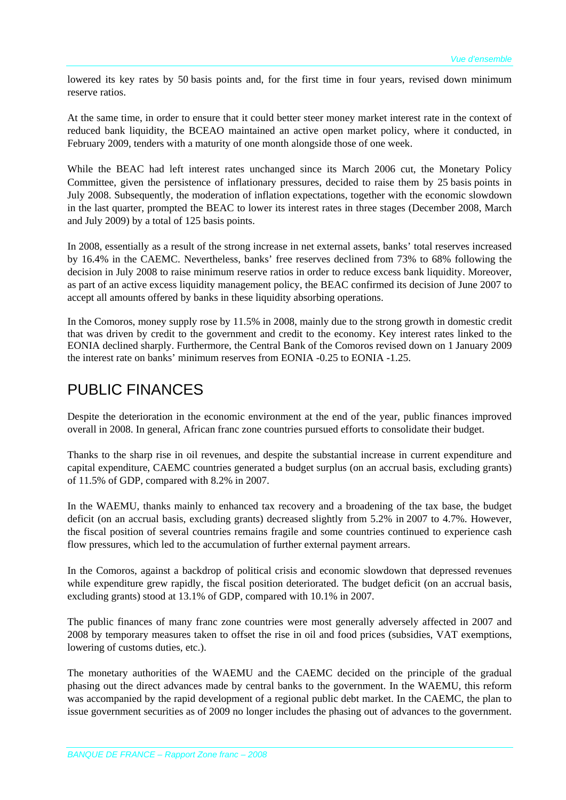lowered its key rates by 50 basis points and, for the first time in four years, revised down minimum reserve ratios.

At the same time, in order to ensure that it could better steer money market interest rate in the context of reduced bank liquidity, the BCEAO maintained an active open market policy, where it conducted, in February 2009, tenders with a maturity of one month alongside those of one week.

While the BEAC had left interest rates unchanged since its March 2006 cut, the Monetary Policy Committee, given the persistence of inflationary pressures, decided to raise them by 25 basis points in July 2008. Subsequently, the moderation of inflation expectations, together with the economic slowdown in the last quarter, prompted the BEAC to lower its interest rates in three stages (December 2008, March and July 2009) by a total of 125 basis points.

In 2008, essentially as a result of the strong increase in net external assets, banks' total reserves increased by 16.4% in the CAEMC. Nevertheless, banks' free reserves declined from 73% to 68% following the decision in July 2008 to raise minimum reserve ratios in order to reduce excess bank liquidity. Moreover, as part of an active excess liquidity management policy, the BEAC confirmed its decision of June 2007 to accept all amounts offered by banks in these liquidity absorbing operations.

In the Comoros, money supply rose by 11.5% in 2008, mainly due to the strong growth in domestic credit that was driven by credit to the government and credit to the economy. Key interest rates linked to the EONIA declined sharply. Furthermore, the Central Bank of the Comoros revised down on 1 January 2009 the interest rate on banks' minimum reserves from EONIA -0.25 to EONIA -1.25.

#### PUBLIC FINANCES

Despite the deterioration in the economic environment at the end of the year, public finances improved overall in 2008. In general, African franc zone countries pursued efforts to consolidate their budget.

Thanks to the sharp rise in oil revenues, and despite the substantial increase in current expenditure and capital expenditure, CAEMC countries generated a budget surplus (on an accrual basis, excluding grants) of 11.5% of GDP, compared with 8.2% in 2007.

In the WAEMU, thanks mainly to enhanced tax recovery and a broadening of the tax base, the budget deficit (on an accrual basis, excluding grants) decreased slightly from 5.2% in 2007 to 4.7%. However, the fiscal position of several countries remains fragile and some countries continued to experience cash flow pressures, which led to the accumulation of further external payment arrears.

In the Comoros, against a backdrop of political crisis and economic slowdown that depressed revenues while expenditure grew rapidly, the fiscal position deteriorated. The budget deficit (on an accrual basis, excluding grants) stood at 13.1% of GDP, compared with 10.1% in 2007.

The public finances of many franc zone countries were most generally adversely affected in 2007 and 2008 by temporary measures taken to offset the rise in oil and food prices (subsidies, VAT exemptions, lowering of customs duties, etc.).

The monetary authorities of the WAEMU and the CAEMC decided on the principle of the gradual phasing out the direct advances made by central banks to the government. In the WAEMU, this reform was accompanied by the rapid development of a regional public debt market. In the CAEMC, the plan to issue government securities as of 2009 no longer includes the phasing out of advances to the government.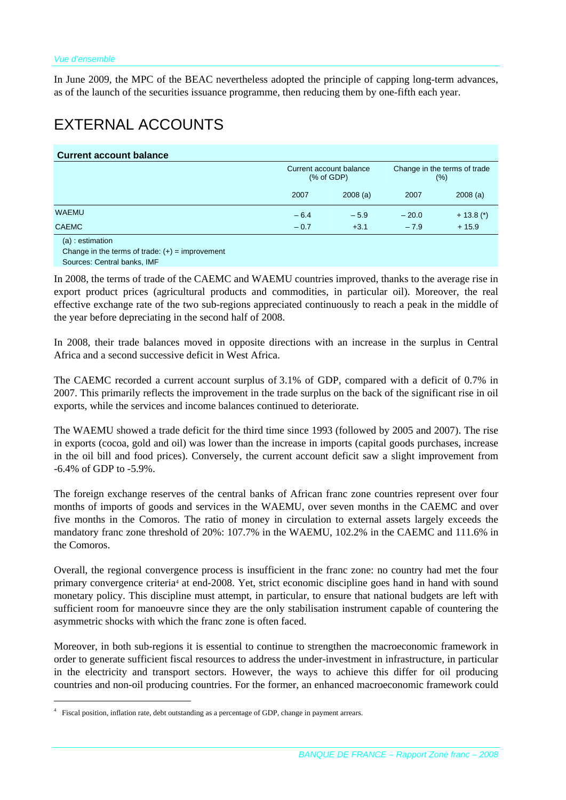In June 2009, the MPC of the BEAC nevertheless adopted the principle of capping long-term advances, as of the launch of the securities issuance programme, then reducing them by one-fifth each year.

### EXTERNAL ACCOUNTS

|  |  | <b>Current account balance</b> |
|--|--|--------------------------------|
|--|--|--------------------------------|

| Current account balance<br>% of GDP) |         | Change in the terms of trade<br>$(\%)$ |              |
|--------------------------------------|---------|----------------------------------------|--------------|
| 2007                                 | 2008(a) | 2007                                   | 2008(a)      |
| $-6.4$                               | $-5.9$  | $-20.0$                                | $+ 13.8$ (*) |
| $-0.7$                               | $+3.1$  | $-7.9$                                 | $+15.9$      |
|                                      |         |                                        |              |

(a) : estimation

 $\overline{a}$ 

Change in the terms of trade:  $(+)$  = improvement Sources: Central banks, IMF

In 2008, the terms of trade of the CAEMC and WAEMU countries improved, thanks to the average rise in export product prices (agricultural products and commodities, in particular oil). Moreover, the real effective exchange rate of the two sub-regions appreciated continuously to reach a peak in the middle of the year before depreciating in the second half of 2008.

In 2008, their trade balances moved in opposite directions with an increase in the surplus in Central Africa and a second successive deficit in West Africa.

The CAEMC recorded a current account surplus of 3.1% of GDP, compared with a deficit of 0.7% in 2007. This primarily reflects the improvement in the trade surplus on the back of the significant rise in oil exports, while the services and income balances continued to deteriorate.

The WAEMU showed a trade deficit for the third time since 1993 (followed by 2005 and 2007). The rise in exports (cocoa, gold and oil) was lower than the increase in imports (capital goods purchases, increase in the oil bill and food prices). Conversely, the current account deficit saw a slight improvement from -6.4% of GDP to -5.9%.

The foreign exchange reserves of the central banks of African franc zone countries represent over four months of imports of goods and services in the WAEMU, over seven months in the CAEMC and over five months in the Comoros. The ratio of money in circulation to external assets largely exceeds the mandatory franc zone threshold of 20%: 107.7% in the WAEMU, 102.2% in the CAEMC and 111.6% in the Comoros.

Overall, the regional convergence process is insufficient in the franc zone: no country had met the four primary convergence criteria4 at end-2008. Yet, strict economic discipline goes hand in hand with sound monetary policy. This discipline must attempt, in particular, to ensure that national budgets are left with sufficient room for manoeuvre since they are the only stabilisation instrument capable of countering the asymmetric shocks with which the franc zone is often faced.

Moreover, in both sub-regions it is essential to continue to strengthen the macroeconomic framework in order to generate sufficient fiscal resources to address the under-investment in infrastructure, in particular in the electricity and transport sectors. However, the ways to achieve this differ for oil producing countries and non-oil producing countries. For the former, an enhanced macroeconomic framework could

<sup>4</sup> Fiscal position, inflation rate, debt outstanding as a percentage of GDP, change in payment arrears.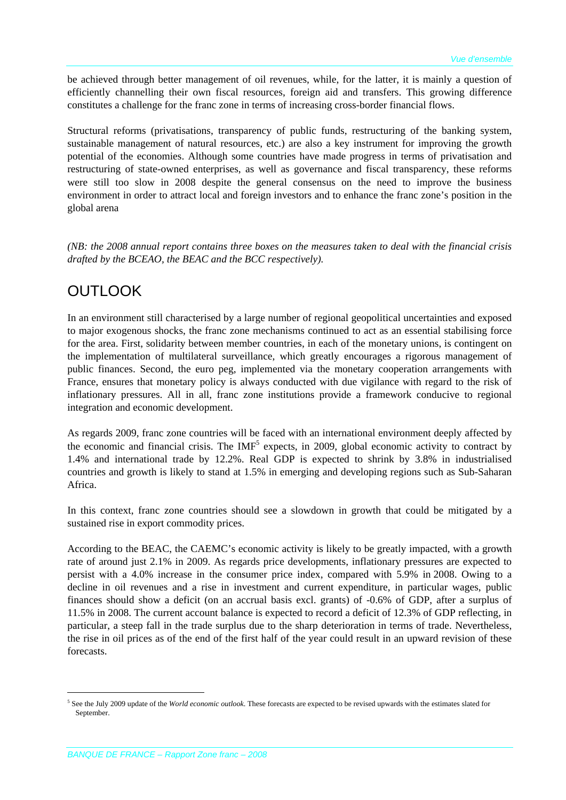be achieved through better management of oil revenues, while, for the latter, it is mainly a question of efficiently channelling their own fiscal resources, foreign aid and transfers. This growing difference constitutes a challenge for the franc zone in terms of increasing cross-border financial flows.

Structural reforms (privatisations, transparency of public funds, restructuring of the banking system, sustainable management of natural resources, etc.) are also a key instrument for improving the growth potential of the economies. Although some countries have made progress in terms of privatisation and restructuring of state-owned enterprises, as well as governance and fiscal transparency, these reforms were still too slow in 2008 despite the general consensus on the need to improve the business environment in order to attract local and foreign investors and to enhance the franc zone's position in the global arena

*(NB: the 2008 annual report contains three boxes on the measures taken to deal with the financial crisis drafted by the BCEAO, the BEAC and the BCC respectively).*

## **OUTLOOK**

In an environment still characterised by a large number of regional geopolitical uncertainties and exposed to major exogenous shocks, the franc zone mechanisms continued to act as an essential stabilising force for the area. First, solidarity between member countries, in each of the monetary unions, is contingent on the implementation of multilateral surveillance, which greatly encourages a rigorous management of public finances. Second, the euro peg, implemented via the monetary cooperation arrangements with France, ensures that monetary policy is always conducted with due vigilance with regard to the risk of inflationary pressures. All in all, franc zone institutions provide a framework conducive to regional integration and economic development.

As regards 2009, franc zone countries will be faced with an international environment deeply affected by the economic and financial crisis. The  $IMF<sup>5</sup>$  expects, in 2009, global economic activity to contract by 1.4% and international trade by 12.2%. Real GDP is expected to shrink by 3.8% in industrialised countries and growth is likely to stand at 1.5% in emerging and developing regions such as Sub-Saharan Africa.

In this context, franc zone countries should see a slowdown in growth that could be mitigated by a sustained rise in export commodity prices.

According to the BEAC, the CAEMC's economic activity is likely to be greatly impacted, with a growth rate of around just 2.1% in 2009. As regards price developments, inflationary pressures are expected to persist with a 4.0% increase in the consumer price index, compared with 5.9% in 2008. Owing to a decline in oil revenues and a rise in investment and current expenditure, in particular wages, public finances should show a deficit (on an accrual basis excl. grants) of -0.6% of GDP, after a surplus of 11.5% in 2008. The current account balance is expected to record a deficit of 12.3% of GDP reflecting, in particular, a steep fall in the trade surplus due to the sharp deterioration in terms of trade. Nevertheless, the rise in oil prices as of the end of the first half of the year could result in an upward revision of these forecasts.

1

<sup>5</sup> See the July 2009 update of the *World economic outlook*. These forecasts are expected to be revised upwards with the estimates slated for September.